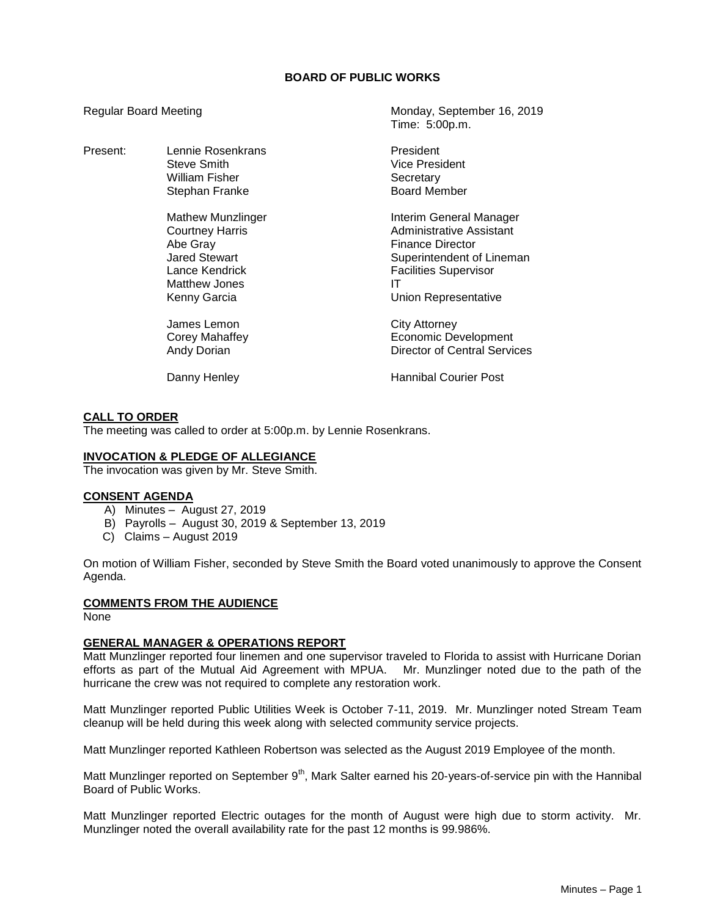# **BOARD OF PUBLIC WORKS**

Time: 5:00p.m.

Regular Board Meeting Monday, September 16, 2019

| Present: | Lennie Rosenkrans<br>Steve Smith<br>William Fisher<br>Stephan Franke                                                               | President<br>Vice President<br>Secretary<br><b>Board Member</b>                                                                                                           |
|----------|------------------------------------------------------------------------------------------------------------------------------------|---------------------------------------------------------------------------------------------------------------------------------------------------------------------------|
|          | Mathew Munzlinger<br><b>Courtney Harris</b><br>Abe Gray<br><b>Jared Stewart</b><br>Lance Kendrick<br>Matthew Jones<br>Kenny Garcia | Interim General Manager<br>Administrative Assistant<br><b>Finance Director</b><br>Superintendent of Lineman<br><b>Facilities Supervisor</b><br>ΙT<br>Union Representative |
|          | James Lemon<br>Corey Mahaffey<br><b>Andy Dorian</b>                                                                                | City Attorney<br>Economic Development<br>Director of Central Services                                                                                                     |
|          | Danny Henley                                                                                                                       | <b>Hannibal Courier Post</b>                                                                                                                                              |

## **CALL TO ORDER**

The meeting was called to order at 5:00p.m. by Lennie Rosenkrans.

## **INVOCATION & PLEDGE OF ALLEGIANCE**

The invocation was given by Mr. Steve Smith.

#### **CONSENT AGENDA**

- A) Minutes August 27, 2019
- B) Payrolls August 30, 2019 & September 13, 2019
- C) Claims August 2019

On motion of William Fisher, seconded by Steve Smith the Board voted unanimously to approve the Consent Agenda.

#### **COMMENTS FROM THE AUDIENCE**

None

#### **GENERAL MANAGER & OPERATIONS REPORT**

Matt Munzlinger reported four linemen and one supervisor traveled to Florida to assist with Hurricane Dorian efforts as part of the Mutual Aid Agreement with MPUA. Mr. Munzlinger noted due to the path of the hurricane the crew was not required to complete any restoration work.

Matt Munzlinger reported Public Utilities Week is October 7-11, 2019. Mr. Munzlinger noted Stream Team cleanup will be held during this week along with selected community service projects.

Matt Munzlinger reported Kathleen Robertson was selected as the August 2019 Employee of the month.

Matt Munzlinger reported on September 9<sup>th</sup>, Mark Salter earned his 20-years-of-service pin with the Hannibal Board of Public Works.

Matt Munzlinger reported Electric outages for the month of August were high due to storm activity. Mr. Munzlinger noted the overall availability rate for the past 12 months is 99.986%.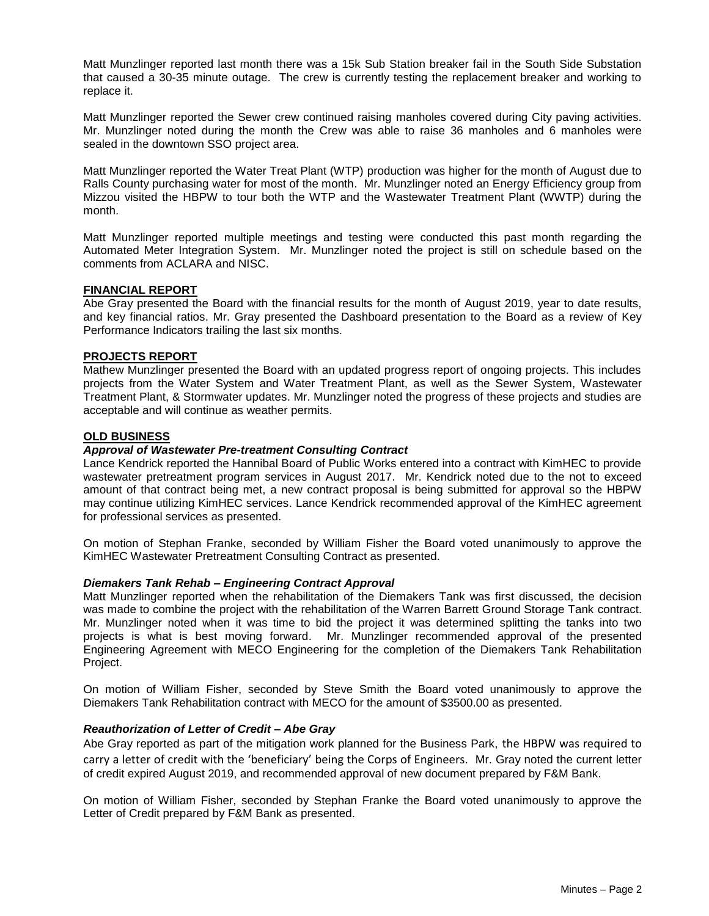Matt Munzlinger reported last month there was a 15k Sub Station breaker fail in the South Side Substation that caused a 30-35 minute outage. The crew is currently testing the replacement breaker and working to replace it.

Matt Munzlinger reported the Sewer crew continued raising manholes covered during City paving activities. Mr. Munzlinger noted during the month the Crew was able to raise 36 manholes and 6 manholes were sealed in the downtown SSO project area.

Matt Munzlinger reported the Water Treat Plant (WTP) production was higher for the month of August due to Ralls County purchasing water for most of the month. Mr. Munzlinger noted an Energy Efficiency group from Mizzou visited the HBPW to tour both the WTP and the Wastewater Treatment Plant (WWTP) during the month.

Matt Munzlinger reported multiple meetings and testing were conducted this past month regarding the Automated Meter Integration System. Mr. Munzlinger noted the project is still on schedule based on the comments from ACLARA and NISC.

## **FINANCIAL REPORT**

Abe Gray presented the Board with the financial results for the month of August 2019, year to date results, and key financial ratios. Mr. Gray presented the Dashboard presentation to the Board as a review of Key Performance Indicators trailing the last six months.

## **PROJECTS REPORT**

Mathew Munzlinger presented the Board with an updated progress report of ongoing projects. This includes projects from the Water System and Water Treatment Plant, as well as the Sewer System, Wastewater Treatment Plant, & Stormwater updates. Mr. Munzlinger noted the progress of these projects and studies are acceptable and will continue as weather permits.

## **OLD BUSINESS**

## *Approval of Wastewater Pre-treatment Consulting Contract*

Lance Kendrick reported the Hannibal Board of Public Works entered into a contract with KimHEC to provide wastewater pretreatment program services in August 2017. Mr. Kendrick noted due to the not to exceed amount of that contract being met, a new contract proposal is being submitted for approval so the HBPW may continue utilizing KimHEC services. Lance Kendrick recommended approval of the KimHEC agreement for professional services as presented.

On motion of Stephan Franke, seconded by William Fisher the Board voted unanimously to approve the KimHEC Wastewater Pretreatment Consulting Contract as presented.

#### *Diemakers Tank Rehab – Engineering Contract Approval*

Matt Munzlinger reported when the rehabilitation of the Diemakers Tank was first discussed, the decision was made to combine the project with the rehabilitation of the Warren Barrett Ground Storage Tank contract. Mr. Munzlinger noted when it was time to bid the project it was determined splitting the tanks into two projects is what is best moving forward. Mr. Munzlinger recommended approval of the presented Engineering Agreement with MECO Engineering for the completion of the Diemakers Tank Rehabilitation Project.

On motion of William Fisher, seconded by Steve Smith the Board voted unanimously to approve the Diemakers Tank Rehabilitation contract with MECO for the amount of \$3500.00 as presented.

#### *Reauthorization of Letter of Credit – Abe Gray*

Abe Gray reported as part of the mitigation work planned for the Business Park, the HBPW was required to carry a letter of credit with the 'beneficiary' being the Corps of Engineers. Mr. Gray noted the current letter of credit expired August 2019, and recommended approval of new document prepared by F&M Bank.

On motion of William Fisher, seconded by Stephan Franke the Board voted unanimously to approve the Letter of Credit prepared by F&M Bank as presented.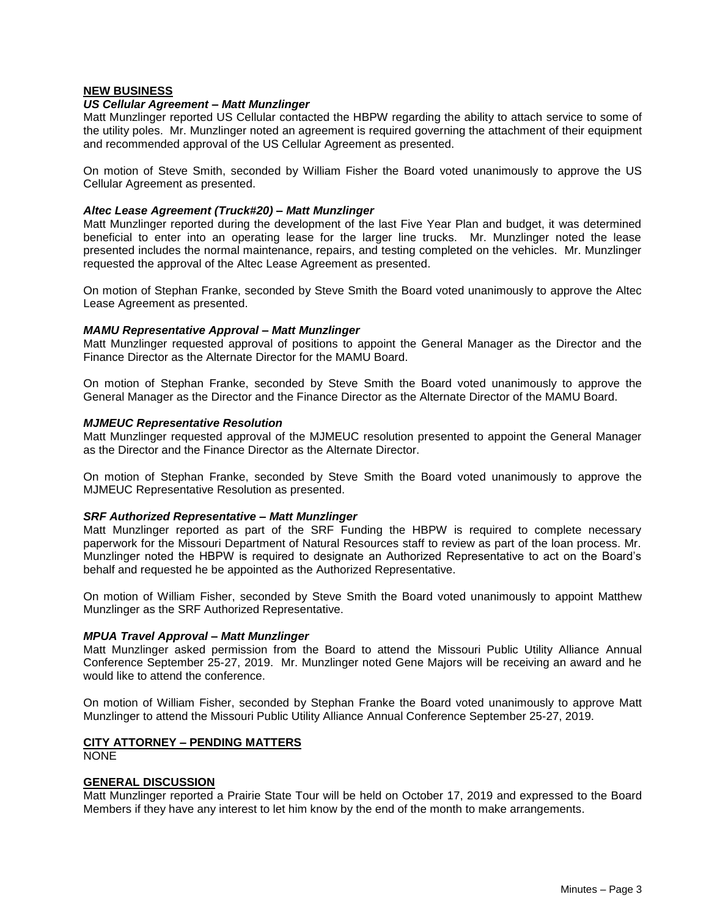## **NEW BUSINESS**

## *US Cellular Agreement – Matt Munzlinger*

Matt Munzlinger reported US Cellular contacted the HBPW regarding the ability to attach service to some of the utility poles. Mr. Munzlinger noted an agreement is required governing the attachment of their equipment and recommended approval of the US Cellular Agreement as presented.

On motion of Steve Smith, seconded by William Fisher the Board voted unanimously to approve the US Cellular Agreement as presented.

## *Altec Lease Agreement (Truck#20) – Matt Munzlinger*

Matt Munzlinger reported during the development of the last Five Year Plan and budget, it was determined beneficial to enter into an operating lease for the larger line trucks. Mr. Munzlinger noted the lease presented includes the normal maintenance, repairs, and testing completed on the vehicles. Mr. Munzlinger requested the approval of the Altec Lease Agreement as presented.

On motion of Stephan Franke, seconded by Steve Smith the Board voted unanimously to approve the Altec Lease Agreement as presented.

## *MAMU Representative Approval – Matt Munzlinger*

Matt Munzlinger requested approval of positions to appoint the General Manager as the Director and the Finance Director as the Alternate Director for the MAMU Board.

On motion of Stephan Franke, seconded by Steve Smith the Board voted unanimously to approve the General Manager as the Director and the Finance Director as the Alternate Director of the MAMU Board.

#### *MJMEUC Representative Resolution*

Matt Munzlinger requested approval of the MJMEUC resolution presented to appoint the General Manager as the Director and the Finance Director as the Alternate Director.

On motion of Stephan Franke, seconded by Steve Smith the Board voted unanimously to approve the MJMEUC Representative Resolution as presented.

#### *SRF Authorized Representative – Matt Munzlinger*

Matt Munzlinger reported as part of the SRF Funding the HBPW is required to complete necessary paperwork for the Missouri Department of Natural Resources staff to review as part of the loan process. Mr. Munzlinger noted the HBPW is required to designate an Authorized Representative to act on the Board's behalf and requested he be appointed as the Authorized Representative.

On motion of William Fisher, seconded by Steve Smith the Board voted unanimously to appoint Matthew Munzlinger as the SRF Authorized Representative.

#### *MPUA Travel Approval – Matt Munzlinger*

Matt Munzlinger asked permission from the Board to attend the Missouri Public Utility Alliance Annual Conference September 25-27, 2019. Mr. Munzlinger noted Gene Majors will be receiving an award and he would like to attend the conference.

On motion of William Fisher, seconded by Stephan Franke the Board voted unanimously to approve Matt Munzlinger to attend the Missouri Public Utility Alliance Annual Conference September 25-27, 2019.

# **CITY ATTORNEY – PENDING MATTERS**

NONE

#### **GENERAL DISCUSSION**

Matt Munzlinger reported a Prairie State Tour will be held on October 17, 2019 and expressed to the Board Members if they have any interest to let him know by the end of the month to make arrangements.